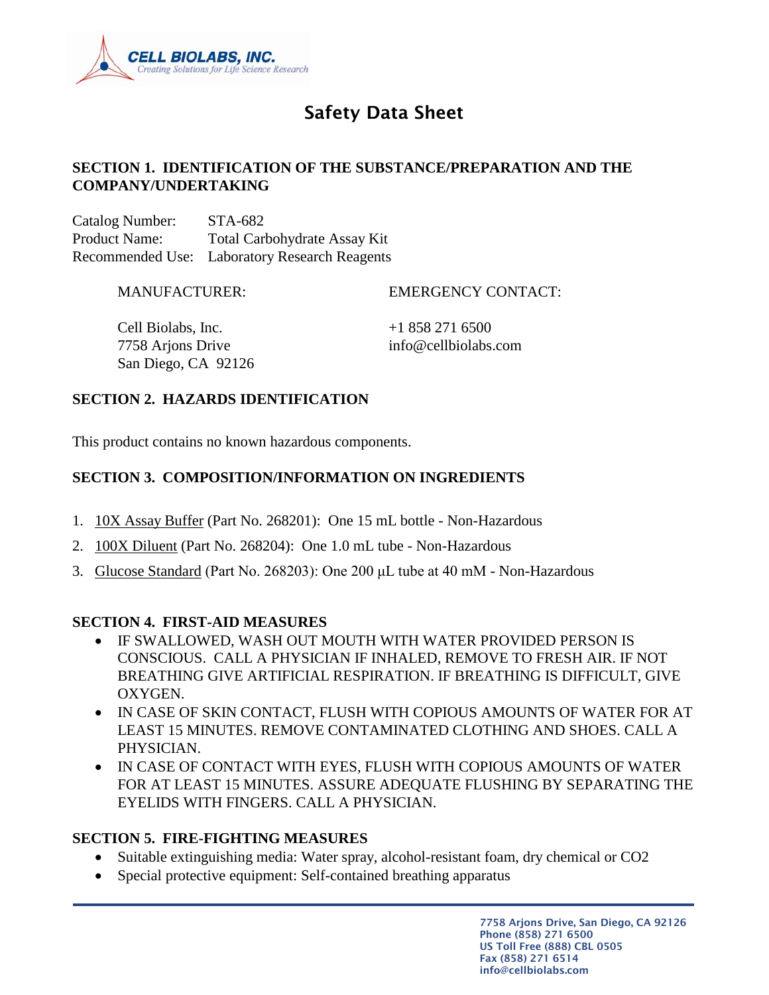

# Safety Data Sheet

# **SECTION 1. IDENTIFICATION OF THE SUBSTANCE/PREPARATION AND THE COMPANY/UNDERTAKING**

Catalog Number: STA-682 Product Name: Total Carbohydrate Assay Kit Recommended Use: Laboratory Research Reagents

MANUFACTURER: EMERGENCY CONTACT:

Cell Biolabs, Inc.  $+18582716500$ 7758 Arjons Drive info@cellbiolabs.com San Diego, CA 92126

# **SECTION 2. HAZARDS IDENTIFICATION**

This product contains no known hazardous components.

# **SECTION 3. COMPOSITION/INFORMATION ON INGREDIENTS**

- 1. 10X Assay Buffer (Part No. 268201): One 15 mL bottle Non-Hazardous
- 2. 100X Diluent (Part No. 268204): One 1.0 mL tube Non-Hazardous
- 3. Glucose Standard (Part No. 268203): One 200 μL tube at 40 mM Non-Hazardous

# **SECTION 4. FIRST-AID MEASURES**

- IF SWALLOWED, WASH OUT MOUTH WITH WATER PROVIDED PERSON IS CONSCIOUS. CALL A PHYSICIAN IF INHALED, REMOVE TO FRESH AIR. IF NOT BREATHING GIVE ARTIFICIAL RESPIRATION. IF BREATHING IS DIFFICULT, GIVE OXYGEN.
- IN CASE OF SKIN CONTACT, FLUSH WITH COPIOUS AMOUNTS OF WATER FOR AT LEAST 15 MINUTES. REMOVE CONTAMINATED CLOTHING AND SHOES. CALL A PHYSICIAN.
- IN CASE OF CONTACT WITH EYES, FLUSH WITH COPIOUS AMOUNTS OF WATER FOR AT LEAST 15 MINUTES. ASSURE ADEQUATE FLUSHING BY SEPARATING THE EYELIDS WITH FINGERS. CALL A PHYSICIAN.

#### **SECTION 5. FIRE-FIGHTING MEASURES**

- Suitable extinguishing media: Water spray, alcohol-resistant foam, dry chemical or CO2
- Special protective equipment: Self-contained breathing apparatus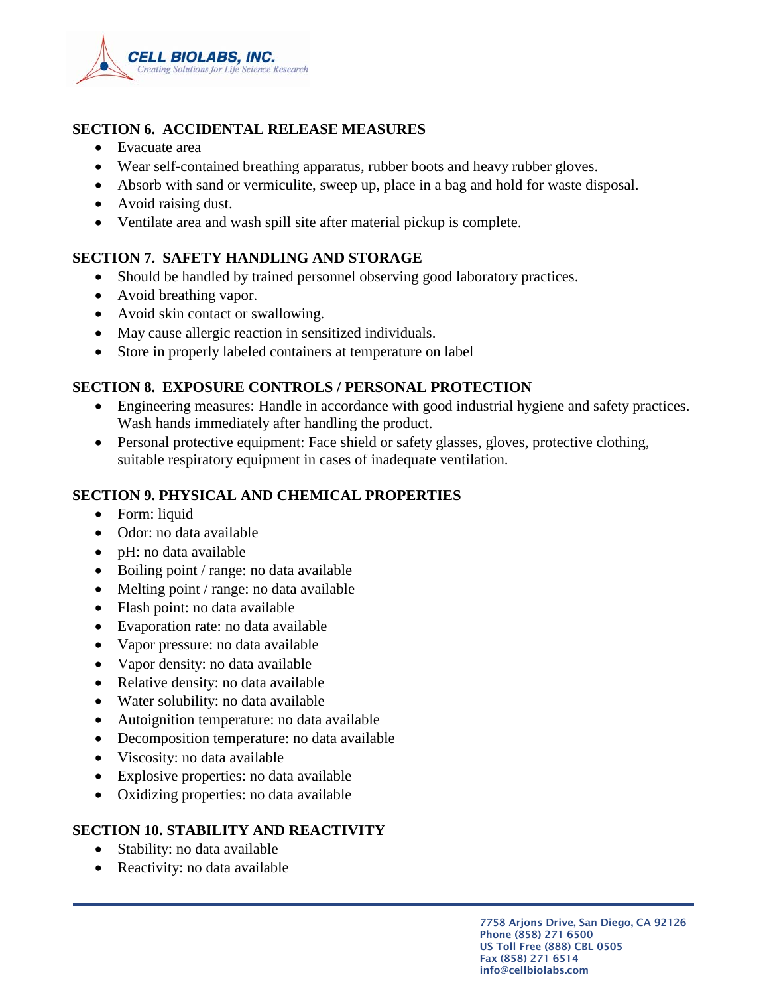

# **SECTION 6. ACCIDENTAL RELEASE MEASURES**

- Evacuate area
- Wear self-contained breathing apparatus, rubber boots and heavy rubber gloves.
- Absorb with sand or vermiculite, sweep up, place in a bag and hold for waste disposal.
- Avoid raising dust.
- Ventilate area and wash spill site after material pickup is complete.

# **SECTION 7. SAFETY HANDLING AND STORAGE**

- Should be handled by trained personnel observing good laboratory practices.
- Avoid breathing vapor.
- Avoid skin contact or swallowing.
- May cause allergic reaction in sensitized individuals.
- Store in properly labeled containers at temperature on label

# **SECTION 8. EXPOSURE CONTROLS / PERSONAL PROTECTION**

- Engineering measures: Handle in accordance with good industrial hygiene and safety practices. Wash hands immediately after handling the product.
- Personal protective equipment: Face shield or safety glasses, gloves, protective clothing, suitable respiratory equipment in cases of inadequate ventilation.

# **SECTION 9. PHYSICAL AND CHEMICAL PROPERTIES**

- Form: liquid
- Odor: no data available
- pH: no data available
- Boiling point / range: no data available
- Melting point / range: no data available
- Flash point: no data available
- Evaporation rate: no data available
- Vapor pressure: no data available
- Vapor density: no data available
- Relative density: no data available
- Water solubility: no data available
- Autoignition temperature: no data available
- Decomposition temperature: no data available
- Viscosity: no data available
- Explosive properties: no data available
- Oxidizing properties: no data available

# **SECTION 10. STABILITY AND REACTIVITY**

- Stability: no data available
- Reactivity: no data available